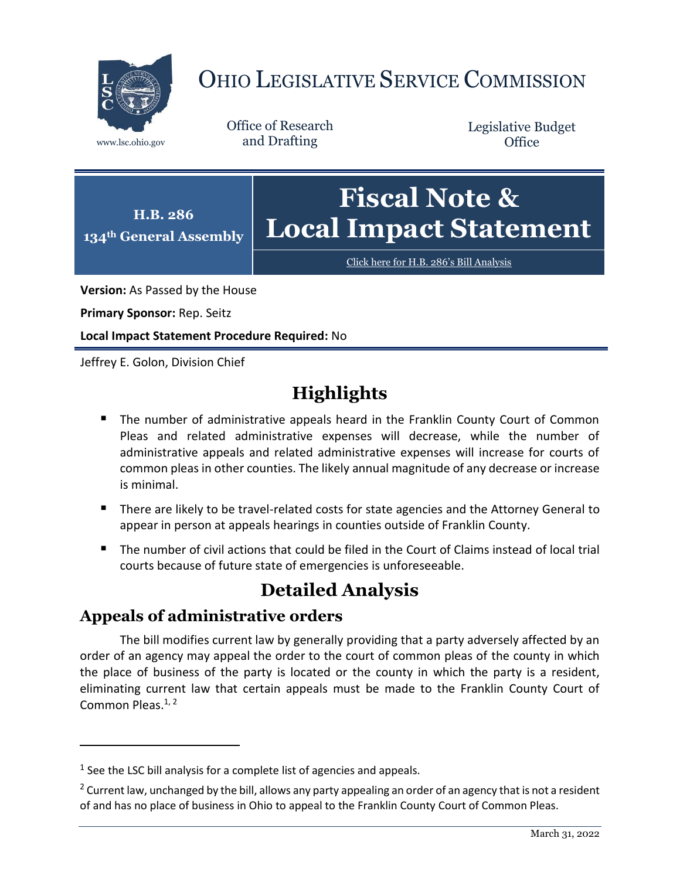

# OHIO LEGISLATIVE SERVICE COMMISSION

Office of Research www.lsc.ohio.gov and Drafting

Legislative Budget **Office** 



Click here for H.B. 286'[s Bill Analysis](https://www.legislature.ohio.gov/legislation/legislation-documents?id=GA134-HB-286)

**Version:** As Passed by the House

**Primary Sponsor:** Rep. Seitz

**Local Impact Statement Procedure Required:** No

Jeffrey E. Golon, Division Chief

# **Highlights**

- **The number of administrative appeals heard in the Franklin County Court of Common** Pleas and related administrative expenses will decrease, while the number of administrative appeals and related administrative expenses will increase for courts of common pleas in other counties. The likely annual magnitude of any decrease or increase is minimal.
- There are likely to be travel-related costs for state agencies and the Attorney General to appear in person at appeals hearings in counties outside of Franklin County.
- The number of civil actions that could be filed in the Court of Claims instead of local trial courts because of future state of emergencies is unforeseeable.

## **Detailed Analysis**

#### **Appeals of administrative orders**

 $\overline{a}$ 

The bill modifies current law by generally providing that a party adversely affected by an order of an agency may appeal the order to the court of common pleas of the county in which the place of business of the party is located or the county in which the party is a resident, eliminating current law that certain appeals must be made to the Franklin County Court of Common Pleas.<sup>1, 2</sup>

 $<sup>1</sup>$  See the LSC bill analysis for a complete list of agencies and appeals.</sup>

<sup>&</sup>lt;sup>2</sup> Current law, unchanged by the bill, allows any party appealing an order of an agency that is not a resident of and has no place of business in Ohio to appeal to the Franklin County Court of Common Pleas.